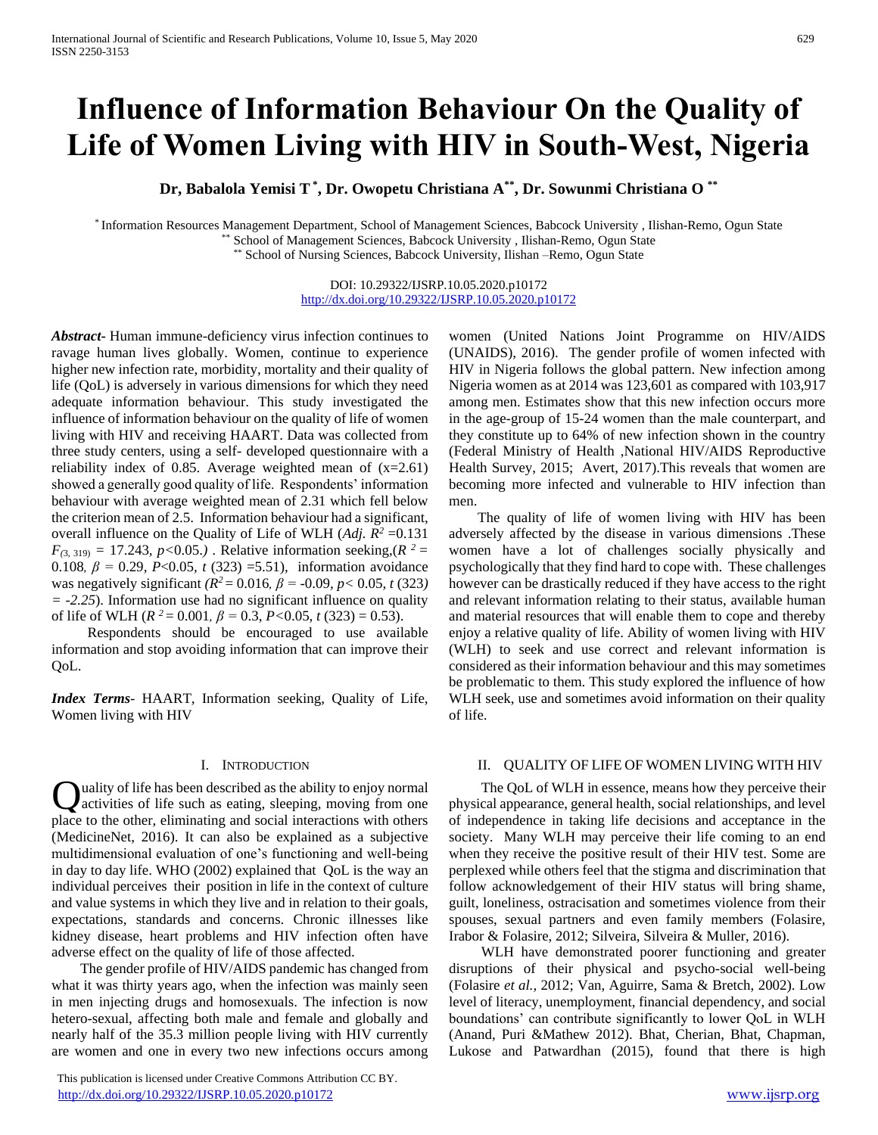# **Influence of Information Behaviour On the Quality of Life of Women Living with HIV in South-West, Nigeria**

**Dr, Babalola Yemisi T\* , Dr. Owopetu Christiana A\*\* , Dr. Sowunmi Christiana O \*\***

\* Information Resources Management Department, School of Management Sciences, Babcock University , Ilishan-Remo, Ogun State School of Management Sciences, Babcock University , Ilishan-Remo, Ogun State

School of Nursing Sciences, Babcock University, Ilishan –Remo, Ogun State

DOI: 10.29322/IJSRP.10.05.2020.p10172 <http://dx.doi.org/10.29322/IJSRP.10.05.2020.p10172>

*Abstract***-** Human immune-deficiency virus infection continues to ravage human lives globally. Women, continue to experience higher new infection rate, morbidity, mortality and their quality of life (QoL) is adversely in various dimensions for which they need adequate information behaviour. This study investigated the influence of information behaviour on the quality of life of women living with HIV and receiving HAART. Data was collected from three study centers, using a self- developed questionnaire with a reliability index of 0.85. Average weighted mean of  $(x=2.61)$ showed a generally good quality of life. Respondents' information behaviour with average weighted mean of 2.31 which fell below the criterion mean of 2.5. Information behaviour had a significant, overall influence on the Quality of Life of WLH (*Adj. R<sup>2</sup>* =0.131  $F_{(3, 319)} = 17.243$ ,  $p < 0.05$ .) . Relative information seeking,  $(R^2 =$ 0.108*, β =* 0.29*, P*<0.05*, t* (323) =5.51), information avoidance was negatively significant  $(R^2 = 0.016, \beta = -0.09, \gamma < 0.05, t (323)$ *= -2.25*). Information use had no significant influence on quality of life of WLH ( $R^2 = 0.001$ ,  $\beta = 0.3$ ,  $P < 0.05$ ,  $t (323) = 0.53$ ).

 Respondents should be encouraged to use available information and stop avoiding information that can improve their QoL.

*Index Terms*- HAART, Information seeking, Quality of Life, Women living with HIV

#### I. INTRODUCTION

uality of life has been described as the ability to enjoy normal activities of life such as eating, sleeping, moving from one place to the other, eliminating and social interactions with others (MedicineNet, 2016). It can also be explained as a subjective multidimensional evaluation of one's functioning and well-being in day to day life. WHO (2002) explained that QoL is the way an individual perceives their position in life in the context of culture and value systems in which they live and in relation to their goals, expectations, standards and concerns. Chronic illnesses like kidney disease, heart problems and HIV infection often have adverse effect on the quality of life of those affected. Q

 The gender profile of HIV/AIDS pandemic has changed from what it was thirty years ago, when the infection was mainly seen in men injecting drugs and homosexuals. The infection is now hetero-sexual, affecting both male and female and globally and nearly half of the 35.3 million people living with HIV currently are women and one in every two new infections occurs among

 This publication is licensed under Creative Commons Attribution CC BY. <http://dx.doi.org/10.29322/IJSRP.10.05.2020.p10172> [www.ijsrp.org](http://ijsrp.org/)

women (United Nations Joint Programme on HIV/AIDS (UNAIDS), 2016). The gender profile of women infected with HIV in Nigeria follows the global pattern. New infection among Nigeria women as at 2014 was 123,601 as compared with 103,917 among men. Estimates show that this new infection occurs more in the age-group of 15-24 women than the male counterpart, and they constitute up to 64% of new infection shown in the country (Federal Ministry of Health ,National HIV/AIDS Reproductive Health Survey, 2015; Avert, 2017).This reveals that women are becoming more infected and vulnerable to HIV infection than men.

 The quality of life of women living with HIV has been adversely affected by the disease in various dimensions .These women have a lot of challenges socially physically and psychologically that they find hard to cope with. These challenges however can be drastically reduced if they have access to the right and relevant information relating to their status, available human and material resources that will enable them to cope and thereby enjoy a relative quality of life. Ability of women living with HIV (WLH) to seek and use correct and relevant information is considered as their information behaviour and this may sometimes be problematic to them. This study explored the influence of how WLH seek, use and sometimes avoid information on their quality of life.

#### II. QUALITY OF LIFE OF WOMEN LIVING WITH HIV

 The QoL of WLH in essence, means how they perceive their physical appearance, general health, social relationships, and level of independence in taking life decisions and acceptance in the society. Many WLH may perceive their life coming to an end when they receive the positive result of their HIV test. Some are perplexed while others feel that the stigma and discrimination that follow acknowledgement of their HIV status will bring shame, guilt, loneliness, ostracisation and sometimes violence from their spouses, sexual partners and even family members (Folasire, Irabor & Folasire, 2012; Silveira, Silveira & Muller, 2016).

 WLH have demonstrated poorer functioning and greater disruptions of their physical and psycho-social well-being (Folasire *et al.,* 2012; Van, Aguirre, Sama & Bretch, 2002). Low level of literacy, unemployment, financial dependency, and social boundations' can contribute significantly to lower QoL in WLH (Anand, Puri &Mathew 2012). Bhat, Cherian, Bhat, Chapman, Lukose and Patwardhan (2015), found that there is high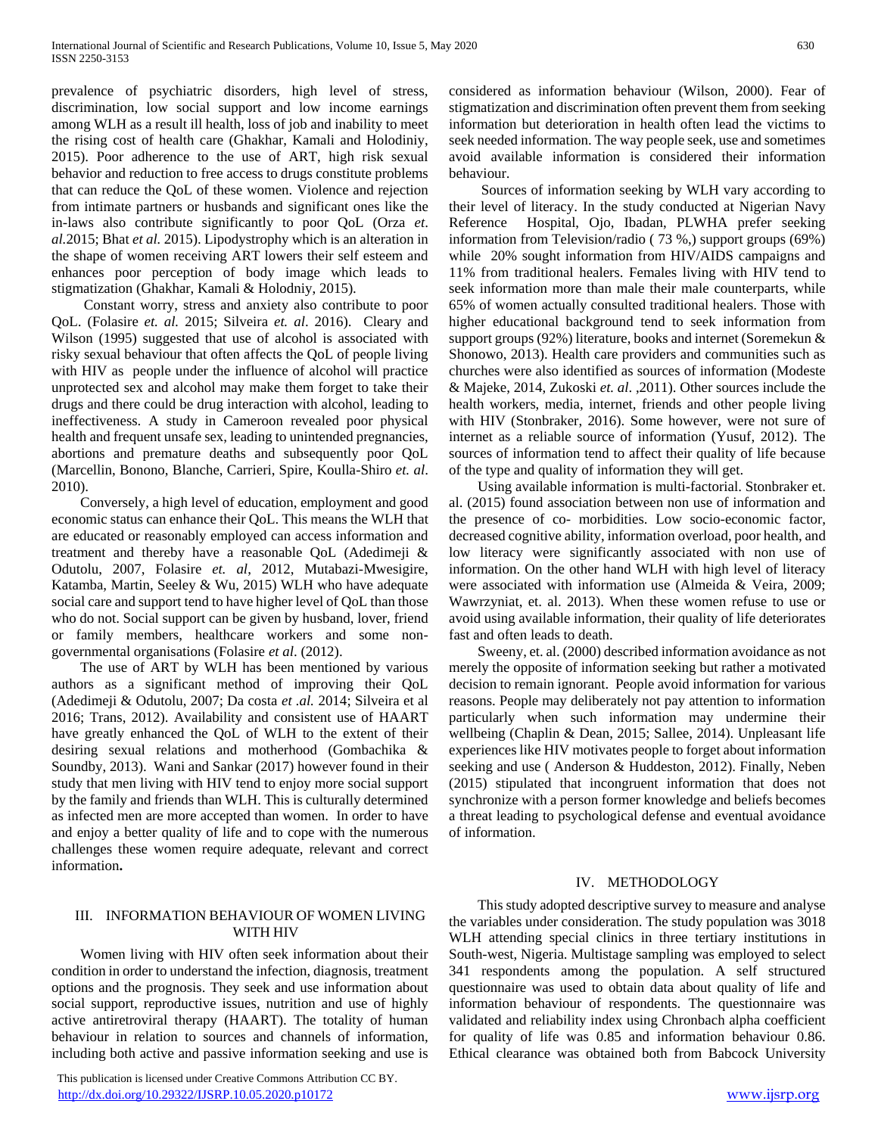prevalence of psychiatric disorders, high level of stress, discrimination, low social support and low income earnings among WLH as a result ill health, loss of job and inability to meet the rising cost of health care (Ghakhar, Kamali and Holodiniy, 2015). Poor adherence to the use of ART, high risk sexual behavior and reduction to free access to drugs constitute problems that can reduce the QoL of these women. Violence and rejection from intimate partners or husbands and significant ones like the in-laws also contribute significantly to poor QoL (Orza *et*. *al.*2015; Bhat *et al.* 2015). Lipodystrophy which is an alteration in the shape of women receiving ART lowers their self esteem and enhances poor perception of body image which leads to stigmatization (Ghakhar, Kamali & Holodniy, 2015).

 Constant worry, stress and anxiety also contribute to poor QoL. (Folasire *et. al.* 2015; Silveira *et. al*. 2016). Cleary and Wilson (1995) suggested that use of alcohol is associated with risky sexual behaviour that often affects the QoL of people living with HIV as people under the influence of alcohol will practice unprotected sex and alcohol may make them forget to take their drugs and there could be drug interaction with alcohol, leading to ineffectiveness. A study in Cameroon revealed poor physical health and frequent unsafe sex, leading to unintended pregnancies, abortions and premature deaths and subsequently poor QoL (Marcellin, Bonono, Blanche, Carrieri, Spire, Koulla-Shiro *et. al*. 2010).

 Conversely, a high level of education, employment and good economic status can enhance their QoL. This means the WLH that are educated or reasonably employed can access information and treatment and thereby have a reasonable QoL (Adedimeji & Odutolu, 2007, Folasire *et. al*, 2012, Mutabazi-Mwesigire, Katamba, Martin, Seeley & Wu, 2015) WLH who have adequate social care and support tend to have higher level of QoL than those who do not. Social support can be given by husband, lover, friend or family members, healthcare workers and some nongovernmental organisations (Folasire *et al*. (2012).

 The use of ART by WLH has been mentioned by various authors as a significant method of improving their QoL (Adedimeji & Odutolu, 2007; Da costa *et .al.* 2014; Silveira et al 2016; Trans, 2012). Availability and consistent use of HAART have greatly enhanced the QoL of WLH to the extent of their desiring sexual relations and motherhood (Gombachika & Soundby, 2013). Wani and Sankar (2017) however found in their study that men living with HIV tend to enjoy more social support by the family and friends than WLH. This is culturally determined as infected men are more accepted than women. In order to have and enjoy a better quality of life and to cope with the numerous challenges these women require adequate, relevant and correct information**.** 

## III. INFORMATION BEHAVIOUR OF WOMEN LIVING WITH HIV

 Women living with HIV often seek information about their condition in order to understand the infection, diagnosis, treatment options and the prognosis. They seek and use information about social support, reproductive issues, nutrition and use of highly active antiretroviral therapy (HAART). The totality of human behaviour in relation to sources and channels of information, including both active and passive information seeking and use is

 This publication is licensed under Creative Commons Attribution CC BY. <http://dx.doi.org/10.29322/IJSRP.10.05.2020.p10172> [www.ijsrp.org](http://ijsrp.org/)

considered as information behaviour (Wilson, 2000). Fear of stigmatization and discrimination often prevent them from seeking information but deterioration in health often lead the victims to seek needed information. The way people seek, use and sometimes avoid available information is considered their information behaviour.

 Sources of information seeking by WLH vary according to their level of literacy. In the study conducted at Nigerian Navy Reference Hospital, Ojo, Ibadan, PLWHA prefer seeking information from Television/radio ( 73 %,) support groups (69%) while 20% sought information from HIV/AIDS campaigns and 11% from traditional healers. Females living with HIV tend to seek information more than male their male counterparts, while 65% of women actually consulted traditional healers. Those with higher educational background tend to seek information from support groups (92%) literature, books and internet (Soremekun & Shonowo, 2013). Health care providers and communities such as churches were also identified as sources of information (Modeste & Majeke, 2014, Zukoski *et. al*. ,2011). Other sources include the health workers, media, internet, friends and other people living with HIV (Stonbraker, 2016). Some however, were not sure of internet as a reliable source of information (Yusuf, 2012). The sources of information tend to affect their quality of life because of the type and quality of information they will get.

 Using available information is multi-factorial. Stonbraker et. al. (2015) found association between non use of information and the presence of co- morbidities. Low socio-economic factor, decreased cognitive ability, information overload, poor health, and low literacy were significantly associated with non use of information. On the other hand WLH with high level of literacy were associated with information use (Almeida & Veira, 2009; Wawrzyniat, et. al. 2013). When these women refuse to use or avoid using available information, their quality of life deteriorates fast and often leads to death.

 Sweeny, et. al. (2000) described information avoidance as not merely the opposite of information seeking but rather a motivated decision to remain ignorant. People avoid information for various reasons. People may deliberately not pay attention to information particularly when such information may undermine their wellbeing (Chaplin & Dean, 2015; Sallee, 2014). Unpleasant life experiences like HIV motivates people to forget about information seeking and use ( Anderson & Huddeston, 2012). Finally, Neben (2015) stipulated that incongruent information that does not synchronize with a person former knowledge and beliefs becomes a threat leading to psychological defense and eventual avoidance of information.

### IV. METHODOLOGY

 This study adopted descriptive survey to measure and analyse the variables under consideration. The study population was 3018 WLH attending special clinics in three tertiary institutions in South-west, Nigeria. Multistage sampling was employed to select 341 respondents among the population. A self structured questionnaire was used to obtain data about quality of life and information behaviour of respondents. The questionnaire was validated and reliability index using Chronbach alpha coefficient for quality of life was 0.85 and information behaviour 0.86. Ethical clearance was obtained both from Babcock University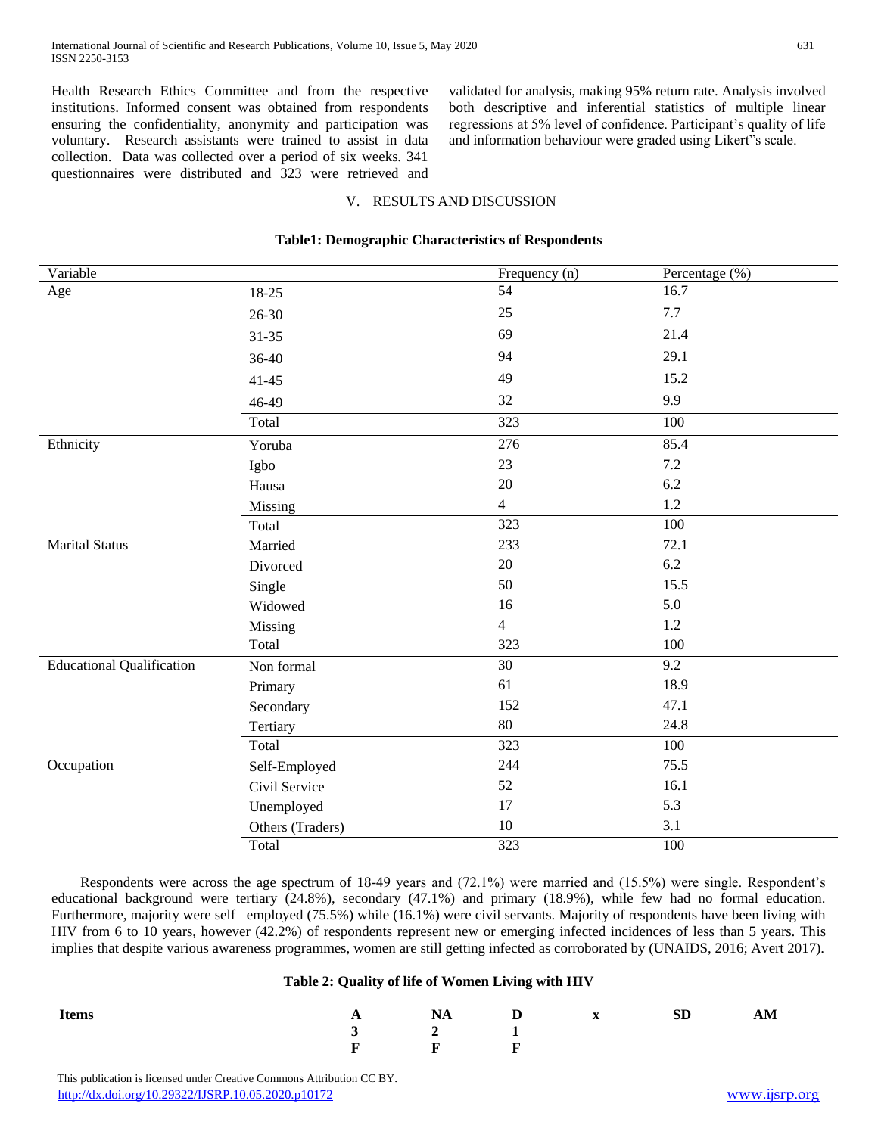Health Research Ethics Committee and from the respective institutions. Informed consent was obtained from respondents ensuring the confidentiality, anonymity and participation was voluntary. Research assistants were trained to assist in data collection. Data was collected over a period of six weeks. 341 questionnaires were distributed and 323 were retrieved and validated for analysis, making 95% return rate. Analysis involved both descriptive and inferential statistics of multiple linear regressions at 5% level of confidence. Participant's quality of life and information behaviour were graded using Likert"s scale.

## V. RESULTS AND DISCUSSION

| 54<br>16.7<br>Age<br>18-25<br>25<br>7.7<br>$26 - 30$<br>69<br>21.4<br>$31 - 35$<br>94<br>29.1<br>36-40<br>49<br>15.2<br>$41 - 45$<br>9.9<br>32<br>46-49<br>Total<br>323<br>100<br>Ethnicity<br>276<br>85.4<br>Yoruba<br>23<br>7.2<br>Igbo<br>20<br>$6.2\,$<br>Hausa<br>1.2<br>$\overline{4}$<br>Missing<br>$\overline{323}$<br>100<br>Total<br><b>Marital Status</b><br>233<br>72.1<br>Married<br>20<br>6.2<br>Divorced<br>50<br>15.5<br>Single<br>5.0<br>16<br>Widowed<br>$\overline{4}$<br>1.2<br>Missing<br>$\overline{323}$<br>100<br>Total<br><b>Educational Qualification</b><br>30<br>9.2<br>Non formal<br>18.9<br>61<br>Primary<br>152<br>47.1<br>Secondary<br>80<br>24.8<br>Tertiary<br>323<br>Total<br>100<br>75.5<br>244<br>Occupation<br>Self-Employed<br>52<br>16.1<br>Civil Service<br>5.3<br>17<br>Unemployed<br>10<br>3.1<br>Others (Traders)<br>323<br>100<br>Total | Variable | Frequency (n) | Percentage (%) |
|--------------------------------------------------------------------------------------------------------------------------------------------------------------------------------------------------------------------------------------------------------------------------------------------------------------------------------------------------------------------------------------------------------------------------------------------------------------------------------------------------------------------------------------------------------------------------------------------------------------------------------------------------------------------------------------------------------------------------------------------------------------------------------------------------------------------------------------------------------------------------------------|----------|---------------|----------------|
|                                                                                                                                                                                                                                                                                                                                                                                                                                                                                                                                                                                                                                                                                                                                                                                                                                                                                      |          |               |                |
|                                                                                                                                                                                                                                                                                                                                                                                                                                                                                                                                                                                                                                                                                                                                                                                                                                                                                      |          |               |                |
|                                                                                                                                                                                                                                                                                                                                                                                                                                                                                                                                                                                                                                                                                                                                                                                                                                                                                      |          |               |                |
|                                                                                                                                                                                                                                                                                                                                                                                                                                                                                                                                                                                                                                                                                                                                                                                                                                                                                      |          |               |                |
|                                                                                                                                                                                                                                                                                                                                                                                                                                                                                                                                                                                                                                                                                                                                                                                                                                                                                      |          |               |                |
|                                                                                                                                                                                                                                                                                                                                                                                                                                                                                                                                                                                                                                                                                                                                                                                                                                                                                      |          |               |                |
|                                                                                                                                                                                                                                                                                                                                                                                                                                                                                                                                                                                                                                                                                                                                                                                                                                                                                      |          |               |                |
|                                                                                                                                                                                                                                                                                                                                                                                                                                                                                                                                                                                                                                                                                                                                                                                                                                                                                      |          |               |                |
|                                                                                                                                                                                                                                                                                                                                                                                                                                                                                                                                                                                                                                                                                                                                                                                                                                                                                      |          |               |                |
|                                                                                                                                                                                                                                                                                                                                                                                                                                                                                                                                                                                                                                                                                                                                                                                                                                                                                      |          |               |                |
|                                                                                                                                                                                                                                                                                                                                                                                                                                                                                                                                                                                                                                                                                                                                                                                                                                                                                      |          |               |                |
|                                                                                                                                                                                                                                                                                                                                                                                                                                                                                                                                                                                                                                                                                                                                                                                                                                                                                      |          |               |                |
|                                                                                                                                                                                                                                                                                                                                                                                                                                                                                                                                                                                                                                                                                                                                                                                                                                                                                      |          |               |                |
|                                                                                                                                                                                                                                                                                                                                                                                                                                                                                                                                                                                                                                                                                                                                                                                                                                                                                      |          |               |                |
|                                                                                                                                                                                                                                                                                                                                                                                                                                                                                                                                                                                                                                                                                                                                                                                                                                                                                      |          |               |                |
|                                                                                                                                                                                                                                                                                                                                                                                                                                                                                                                                                                                                                                                                                                                                                                                                                                                                                      |          |               |                |
|                                                                                                                                                                                                                                                                                                                                                                                                                                                                                                                                                                                                                                                                                                                                                                                                                                                                                      |          |               |                |
|                                                                                                                                                                                                                                                                                                                                                                                                                                                                                                                                                                                                                                                                                                                                                                                                                                                                                      |          |               |                |
|                                                                                                                                                                                                                                                                                                                                                                                                                                                                                                                                                                                                                                                                                                                                                                                                                                                                                      |          |               |                |
|                                                                                                                                                                                                                                                                                                                                                                                                                                                                                                                                                                                                                                                                                                                                                                                                                                                                                      |          |               |                |
|                                                                                                                                                                                                                                                                                                                                                                                                                                                                                                                                                                                                                                                                                                                                                                                                                                                                                      |          |               |                |
|                                                                                                                                                                                                                                                                                                                                                                                                                                                                                                                                                                                                                                                                                                                                                                                                                                                                                      |          |               |                |
|                                                                                                                                                                                                                                                                                                                                                                                                                                                                                                                                                                                                                                                                                                                                                                                                                                                                                      |          |               |                |
|                                                                                                                                                                                                                                                                                                                                                                                                                                                                                                                                                                                                                                                                                                                                                                                                                                                                                      |          |               |                |
|                                                                                                                                                                                                                                                                                                                                                                                                                                                                                                                                                                                                                                                                                                                                                                                                                                                                                      |          |               |                |
|                                                                                                                                                                                                                                                                                                                                                                                                                                                                                                                                                                                                                                                                                                                                                                                                                                                                                      |          |               |                |
|                                                                                                                                                                                                                                                                                                                                                                                                                                                                                                                                                                                                                                                                                                                                                                                                                                                                                      |          |               |                |
|                                                                                                                                                                                                                                                                                                                                                                                                                                                                                                                                                                                                                                                                                                                                                                                                                                                                                      |          |               |                |

#### **Table1: Demographic Characteristics of Respondents**

 Respondents were across the age spectrum of 18-49 years and (72.1%) were married and (15.5%) were single. Respondent's educational background were tertiary (24.8%), secondary (47.1%) and primary (18.9%), while few had no formal education. Furthermore, majority were self –employed (75.5%) while (16.1%) were civil servants. Majority of respondents have been living with HIV from 6 to 10 years, however (42.2%) of respondents represent new or emerging infected incidences of less than 5 years. This implies that despite various awareness programmes, women are still getting infected as corroborated by (UNAIDS, 2016; Avert 2017).

## **Table 2: Quality of life of Women Living with HIV**

| <b>Items</b> | $\overline{\phantom{a}}$ | T<br>IVA | - | $\mathbf{r}$<br>$\overline{a}$ | $\alpha$ r<br>$\mathbf{S}$ | $\overline{\mathbf{M}}$ |
|--------------|--------------------------|----------|---|--------------------------------|----------------------------|-------------------------|
|              |                          |          |   |                                |                            |                         |
|              |                          |          |   |                                |                            |                         |

 This publication is licensed under Creative Commons Attribution CC BY. <http://dx.doi.org/10.29322/IJSRP.10.05.2020.p10172> [www.ijsrp.org](http://ijsrp.org/)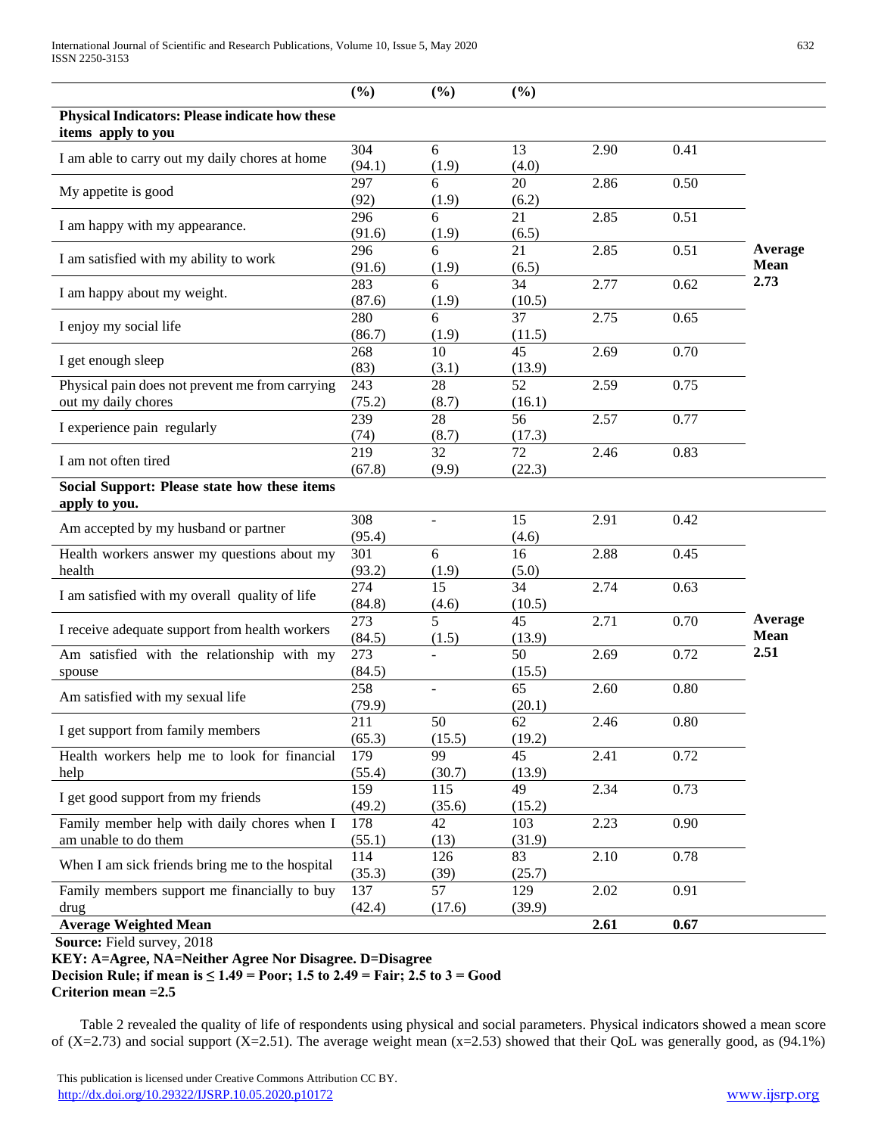|                                                                        | (%)           | (%)           | (%)           |      |      |                        |
|------------------------------------------------------------------------|---------------|---------------|---------------|------|------|------------------------|
| Physical Indicators: Please indicate how these<br>items apply to you   |               |               |               |      |      |                        |
| I am able to carry out my daily chores at home                         | 304<br>(94.1) | 6<br>(1.9)    | 13<br>(4.0)   | 2.90 | 0.41 |                        |
| My appetite is good                                                    | 297<br>(92)   | 6<br>(1.9)    | 20<br>(6.2)   | 2.86 | 0.50 |                        |
| I am happy with my appearance.                                         | 296<br>(91.6) | 6<br>(1.9)    | 21<br>(6.5)   | 2.85 | 0.51 |                        |
| I am satisfied with my ability to work                                 | 296<br>(91.6) | 6<br>(1.9)    | 21<br>(6.5)   | 2.85 | 0.51 | Average<br><b>Mean</b> |
| I am happy about my weight.                                            | 283<br>(87.6) | 6<br>(1.9)    | 34<br>(10.5)  | 2.77 | 0.62 | 2.73                   |
| I enjoy my social life                                                 | 280<br>(86.7) | 6<br>(1.9)    | 37<br>(11.5)  | 2.75 | 0.65 |                        |
| I get enough sleep                                                     | 268<br>(83)   | 10<br>(3.1)   | 45<br>(13.9)  | 2.69 | 0.70 |                        |
| Physical pain does not prevent me from carrying<br>out my daily chores | 243<br>(75.2) | 28<br>(8.7)   | 52<br>(16.1)  | 2.59 | 0.75 |                        |
| I experience pain regularly                                            | 239<br>(74)   | 28<br>(8.7)   | 56<br>(17.3)  | 2.57 | 0.77 |                        |
| I am not often tired                                                   | 219<br>(67.8) | 32<br>(9.9)   | 72<br>(22.3)  | 2.46 | 0.83 |                        |
| Social Support: Please state how these items<br>apply to you.          |               |               |               |      |      |                        |
| Am accepted by my husband or partner                                   | 308<br>(95.4) |               | 15<br>(4.6)   | 2.91 | 0.42 |                        |
| Health workers answer my questions about my<br>health                  | 301<br>(93.2) | 6<br>(1.9)    | 16<br>(5.0)   | 2.88 | 0.45 |                        |
| I am satisfied with my overall quality of life                         | 274<br>(84.8) | 15<br>(4.6)   | 34<br>(10.5)  | 2.74 | 0.63 |                        |
| I receive adequate support from health workers                         | 273<br>(84.5) | 5<br>(1.5)    | 45<br>(13.9)  | 2.71 | 0.70 | Average<br><b>Mean</b> |
| Am satisfied with the relationship with my<br>spouse                   | 273<br>(84.5) |               | 50<br>(15.5)  | 2.69 | 0.72 | 2.51                   |
| Am satisfied with my sexual life                                       | 258<br>(79.9) |               | 65<br>(20.1)  | 2.60 | 0.80 |                        |
| I get support from family members                                      | 211<br>(65.3) | 50<br>(15.5)  | 62<br>(19.2)  | 2.46 | 0.80 |                        |
| Health workers help me to look for financial<br>help                   | 179<br>(55.4) | 99<br>(30.7)  | 45<br>(13.9)  | 2.41 | 0.72 |                        |
| I get good support from my friends                                     | 159<br>(49.2) | 115<br>(35.6) | 49<br>(15.2)  | 2.34 | 0.73 |                        |
| Family member help with daily chores when I<br>am unable to do them    | 178<br>(55.1) | 42<br>(13)    | 103<br>(31.9) | 2.23 | 0.90 |                        |
| When I am sick friends bring me to the hospital                        | 114<br>(35.3) | 126<br>(39)   | 83<br>(25.7)  | 2.10 | 0.78 |                        |
| Family members support me financially to buy<br>drug                   | 137<br>(42.4) | 57<br>(17.6)  | 129<br>(39.9) | 2.02 | 0.91 |                        |
| <b>Average Weighted Mean</b>                                           |               |               |               | 2.61 | 0.67 |                        |

**Source:** Field survey, 2018

**KEY: A=Agree, NA=Neither Agree Nor Disagree. D=Disagree** 

**Decision Rule; if mean is ≤ 1.49 = Poor; 1.5 to 2.49 = Fair; 2.5 to 3 = Good Criterion mean =2.5**

 Table 2 revealed the quality of life of respondents using physical and social parameters. Physical indicators showed a mean score of  $(X=2.73)$  and social support  $(X=2.51)$ . The average weight mean  $(x=2.53)$  showed that their QoL was generally good, as (94.1%)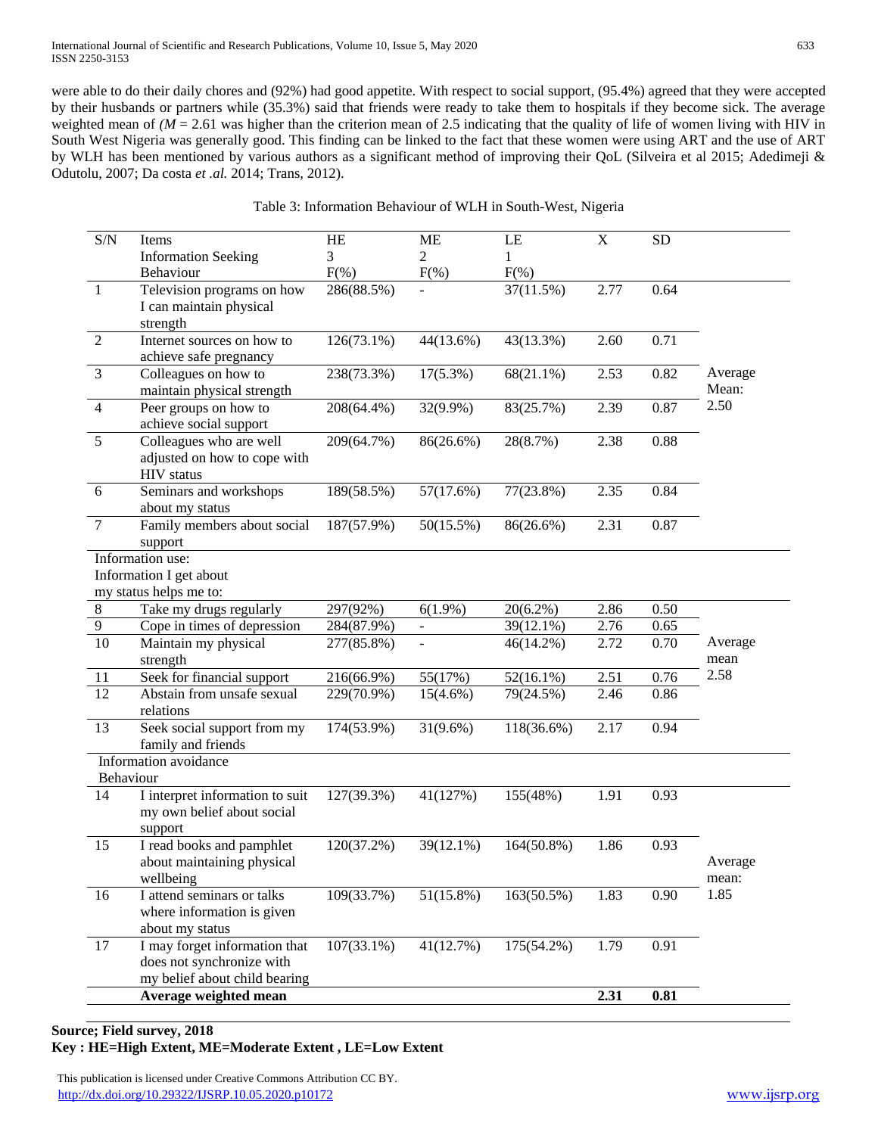International Journal of Scientific and Research Publications, Volume 10, Issue 5, May 2020 633 ISSN 2250-3153

were able to do their daily chores and (92%) had good appetite. With respect to social support, (95.4%) agreed that they were accepted by their husbands or partners while (35.3%) said that friends were ready to take them to hospitals if they become sick. The average weighted mean of *(M* = 2.61 was higher than the criterion mean of 2.5 indicating that the quality of life of women living with HIV in South West Nigeria was generally good. This finding can be linked to the fact that these women were using ART and the use of ART by WLH has been mentioned by various authors as a significant method of improving their QoL (Silveira et al 2015; Adedimeji & Odutolu, 2007; Da costa *et .al.* 2014; Trans, 2012).

## Table 3: Information Behaviour of WLH in South-West, Nigeria

| $\mathbf{1}$<br>$\overline{2}$<br>3<br>$\overline{4}$<br>5<br>6<br>$\overline{7}$<br>Information use: | <b>Information Seeking</b><br>Behaviour<br>Television programs on how<br>I can maintain physical<br>strength<br>Internet sources on how to<br>achieve safe pregnancy<br>Colleagues on how to<br>maintain physical strength<br>Peer groups on how to<br>achieve social support<br>Colleagues who are well<br>adjusted on how to cope with<br><b>HIV</b> status<br>Seminars and workshops<br>about my status<br>Family members about social | 3<br>$F(\%)$<br>$286(88.5\%)$<br>$126(73.1\%)$<br>238(73.3%)<br>208(64.4%)<br>209(64.7%)<br>189(58.5%) | $\overline{2}$<br>$F(\% )$<br>44(13.6%)<br>$17(5.3\%)$<br>32(9.9%)<br>86(26.6%) | 1<br>$F(\% )$<br>37(11.5%)<br>43(13.3%)<br>$68(21.1\%)$<br>83(25.7%)<br>28(8.7%) | 2.77<br>2.60<br>2.53<br>2.39<br>2.38 | 0.64<br>0.71<br>0.82<br>0.87<br>0.88 | Average<br>Mean:<br>2.50 |
|-------------------------------------------------------------------------------------------------------|-------------------------------------------------------------------------------------------------------------------------------------------------------------------------------------------------------------------------------------------------------------------------------------------------------------------------------------------------------------------------------------------------------------------------------------------|--------------------------------------------------------------------------------------------------------|---------------------------------------------------------------------------------|----------------------------------------------------------------------------------|--------------------------------------|--------------------------------------|--------------------------|
|                                                                                                       |                                                                                                                                                                                                                                                                                                                                                                                                                                           |                                                                                                        |                                                                                 |                                                                                  |                                      |                                      |                          |
|                                                                                                       |                                                                                                                                                                                                                                                                                                                                                                                                                                           |                                                                                                        |                                                                                 |                                                                                  |                                      |                                      |                          |
|                                                                                                       |                                                                                                                                                                                                                                                                                                                                                                                                                                           |                                                                                                        |                                                                                 |                                                                                  |                                      |                                      |                          |
|                                                                                                       |                                                                                                                                                                                                                                                                                                                                                                                                                                           |                                                                                                        |                                                                                 |                                                                                  |                                      |                                      |                          |
|                                                                                                       |                                                                                                                                                                                                                                                                                                                                                                                                                                           |                                                                                                        |                                                                                 |                                                                                  |                                      |                                      |                          |
|                                                                                                       |                                                                                                                                                                                                                                                                                                                                                                                                                                           |                                                                                                        |                                                                                 |                                                                                  |                                      |                                      |                          |
|                                                                                                       |                                                                                                                                                                                                                                                                                                                                                                                                                                           |                                                                                                        |                                                                                 |                                                                                  |                                      |                                      |                          |
|                                                                                                       |                                                                                                                                                                                                                                                                                                                                                                                                                                           |                                                                                                        | 57(17.6%)                                                                       | $77(23.8\%)$                                                                     | 2.35                                 | 0.84                                 |                          |
|                                                                                                       | support                                                                                                                                                                                                                                                                                                                                                                                                                                   | 187(57.9%)                                                                                             | 50(15.5%)                                                                       | 86(26.6%)                                                                        | 2.31                                 | 0.87                                 |                          |
|                                                                                                       |                                                                                                                                                                                                                                                                                                                                                                                                                                           |                                                                                                        |                                                                                 |                                                                                  |                                      |                                      |                          |
|                                                                                                       | Information I get about                                                                                                                                                                                                                                                                                                                                                                                                                   |                                                                                                        |                                                                                 |                                                                                  |                                      |                                      |                          |
|                                                                                                       | my status helps me to:                                                                                                                                                                                                                                                                                                                                                                                                                    |                                                                                                        |                                                                                 |                                                                                  |                                      |                                      |                          |
| $8\,$                                                                                                 | Take my drugs regularly                                                                                                                                                                                                                                                                                                                                                                                                                   | 297(92%)                                                                                               | $6(1.9\%)$                                                                      | $20(6.2\%)$                                                                      | 2.86                                 | 0.50                                 |                          |
| $\overline{9}$                                                                                        | Cope in times of depression                                                                                                                                                                                                                                                                                                                                                                                                               | 284(87.9%)                                                                                             |                                                                                 | 39(12.1%)                                                                        | 2.76                                 | 0.65                                 |                          |
| 10                                                                                                    | Maintain my physical<br>strength                                                                                                                                                                                                                                                                                                                                                                                                          | 277(85.8%)                                                                                             |                                                                                 | $46(14.2\%)$                                                                     | 2.72                                 | 0.70                                 | Average<br>mean          |
| 11                                                                                                    | Seek for financial support                                                                                                                                                                                                                                                                                                                                                                                                                | 216(66.9%)                                                                                             | 55(17%)                                                                         | $52(16.1\%)$                                                                     | 2.51                                 | 0.76                                 | 2.58                     |
| 12                                                                                                    | Abstain from unsafe sexual<br>relations                                                                                                                                                                                                                                                                                                                                                                                                   | 229(70.9%)                                                                                             | $15(4.6\%)$                                                                     | 79(24.5%)                                                                        | 2.46                                 | 0.86                                 |                          |
| 13                                                                                                    | Seek social support from my<br>family and friends                                                                                                                                                                                                                                                                                                                                                                                         | 174(53.9%)                                                                                             | $31(9.6\%)$                                                                     | 118(36.6%)                                                                       | 2.17                                 | 0.94                                 |                          |
| Behaviour                                                                                             | Information avoidance                                                                                                                                                                                                                                                                                                                                                                                                                     |                                                                                                        |                                                                                 |                                                                                  |                                      |                                      |                          |
| 14                                                                                                    | I interpret information to suit<br>my own belief about social<br>support                                                                                                                                                                                                                                                                                                                                                                  | 127(39.3%)                                                                                             | 41(127%)                                                                        | 155(48%)                                                                         | 1.91                                 | 0.93                                 |                          |
| 15                                                                                                    | I read books and pamphlet<br>about maintaining physical<br>wellbeing                                                                                                                                                                                                                                                                                                                                                                      | 120(37.2%)                                                                                             | 39(12.1%)                                                                       | 164(50.8%)                                                                       | 1.86                                 | 0.93                                 | Average<br>mean:         |
| 16                                                                                                    | I attend seminars or talks<br>where information is given<br>about my status                                                                                                                                                                                                                                                                                                                                                               | 109(33.7%)                                                                                             | $51(15.8\%)$                                                                    | 163(50.5%)                                                                       | 1.83                                 | 0.90                                 | 1.85                     |
| 17                                                                                                    | I may forget information that<br>does not synchronize with<br>my belief about child bearing                                                                                                                                                                                                                                                                                                                                               | $107(33.1\%)$                                                                                          | 41(12.7%)                                                                       | 175(54.2%)                                                                       | 1.79                                 | 0.91                                 |                          |
|                                                                                                       | Average weighted mean                                                                                                                                                                                                                                                                                                                                                                                                                     |                                                                                                        |                                                                                 |                                                                                  | 2.31                                 | 0.81                                 |                          |

## **Source; Field survey, 2018 Key : HE=High Extent, ME=Moderate Extent , LE=Low Extent**

 This publication is licensed under Creative Commons Attribution CC BY. <http://dx.doi.org/10.29322/IJSRP.10.05.2020.p10172> [www.ijsrp.org](http://ijsrp.org/)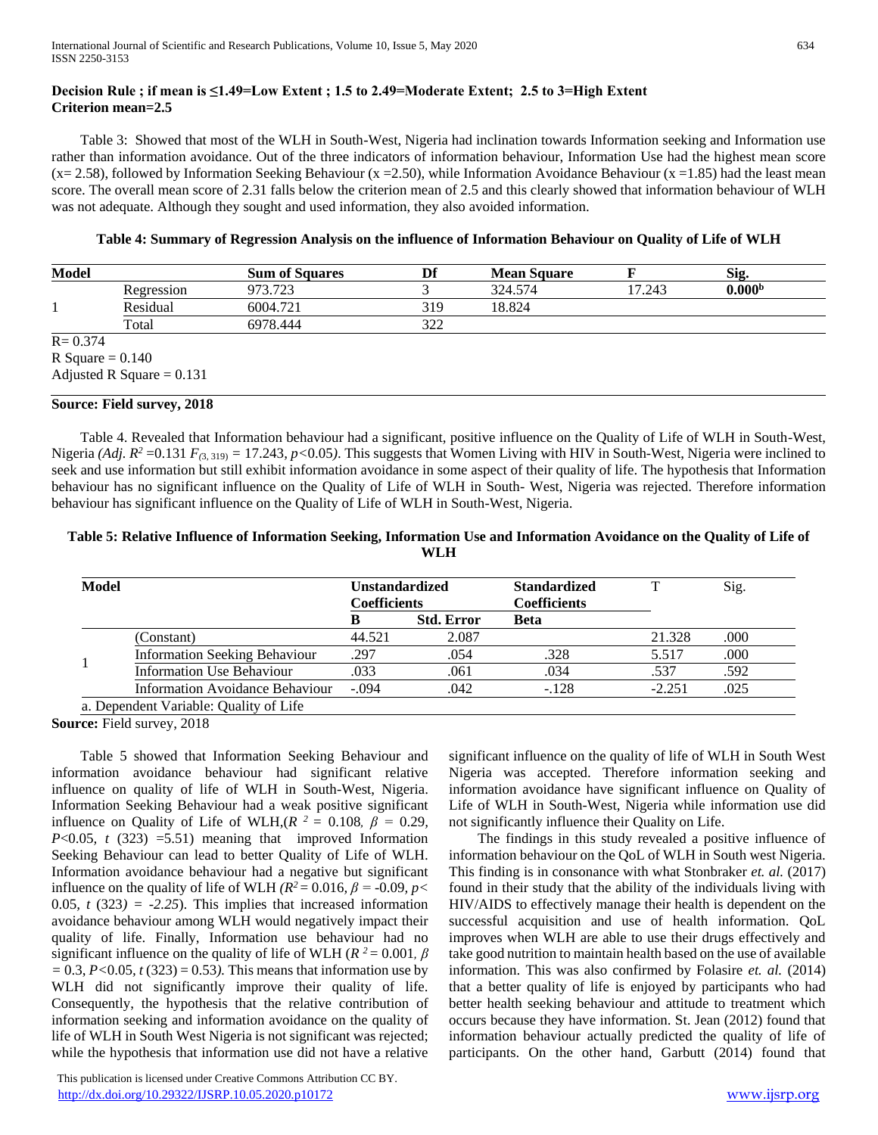## **Decision Rule ; if mean is ≤1.49=Low Extent ; 1.5 to 2.49=Moderate Extent; 2.5 to 3=High Extent Criterion mean=2.5**

 Table 3: Showed that most of the WLH in South-West, Nigeria had inclination towards Information seeking and Information use rather than information avoidance. Out of the three indicators of information behaviour, Information Use had the highest mean score  $(x= 2.58)$ , followed by Information Seeking Behaviour  $(x = 2.50)$ , while Information Avoidance Behaviour  $(x = 1.85)$  had the least mean score. The overall mean score of 2.31 falls below the criterion mean of 2.5 and this clearly showed that information behaviour of WLH was not adequate. Although they sought and used information, they also avoided information.

#### **Table 4: Summary of Regression Analysis on the influence of Information Behaviour on Quality of Life of WLH**

| <b>Model</b> |                             | <b>Sum of Squares</b> | Df  | <b>Mean Square</b> |        | Sig.               |
|--------------|-----------------------------|-----------------------|-----|--------------------|--------|--------------------|
|              | Regression                  | 973.723               |     | 324.574            | 17.243 | 0.000 <sup>b</sup> |
|              | Residual                    | 6004.721              | 319 | 18.824             |        |                    |
|              | Total                       | 6978.444              | 322 |                    |        |                    |
| $R = 0.374$  |                             |                       |     |                    |        |                    |
|              | R Square $= 0.140$          |                       |     |                    |        |                    |
|              | Adjusted R Square = $0.131$ |                       |     |                    |        |                    |

#### **Source: Field survey, 2018**

 Table 4. Revealed that Information behaviour had a significant, positive influence on the Quality of Life of WLH in South-West, Nigeria *(Adj. R<sup>2</sup>* =0.131  $F$ <sub>(3,319)</sub> = 17.243*, p*<0.05). This suggests that Women Living with HIV in South-West, Nigeria were inclined to seek and use information but still exhibit information avoidance in some aspect of their quality of life. The hypothesis that Information behaviour has no significant influence on the Quality of Life of WLH in South- West, Nigeria was rejected. Therefore information behaviour has significant influence on the Quality of Life of WLH in South-West, Nigeria.

## **Table 5: Relative Influence of Information Seeking, Information Use and Information Avoidance on the Quality of Life of WLH**

| <b>Model</b> |                                        | Unstandardized<br><b>Coefficients</b> |                   | <b>Standardized</b><br><b>Coefficients</b> | т        | Sig. |
|--------------|----------------------------------------|---------------------------------------|-------------------|--------------------------------------------|----------|------|
|              |                                        |                                       | <b>Std. Error</b> | <b>Beta</b>                                |          |      |
|              | (Constant)                             | 44.521                                | 2.087             |                                            | 21.328   | .000 |
|              | <b>Information Seeking Behaviour</b>   | .297                                  | .054              | .328                                       | 5.517    | .000 |
|              | <b>Information Use Behaviour</b>       | .033                                  | .061              | .034                                       | .537     | .592 |
|              | Information Avoidance Behaviour        | $-.094$                               | .042              | $-.128$                                    | $-2.251$ | .025 |
|              | a. Dependent Variable: Quality of Life |                                       |                   |                                            |          |      |

**Source:** Field survey, 2018

 Table 5 showed that Information Seeking Behaviour and information avoidance behaviour had significant relative influence on quality of life of WLH in South-West, Nigeria. Information Seeking Behaviour had a weak positive significant influence on Quality of Life of WLH, $(R^2 = 0.108, \beta = 0.29,$ *P*<0.05*, t* (323) =5.51) meaning that improved Information Seeking Behaviour can lead to better Quality of Life of WLH. Information avoidance behaviour had a negative but significant influence on the quality of life of WLH  $(R^2 = 0.016, \beta = -0.09, \gamma <$ 0.05,  $t$  (323) = -2.25). This implies that increased information avoidance behaviour among WLH would negatively impact their quality of life. Finally, Information use behaviour had no significant influence on the quality of life of WLH ( $R^2 = 0.001$ ,  $\beta$ *=* 0.3, *P<*0.05*, t* (323) = 0.53*).* This means that information use by WLH did not significantly improve their quality of life. Consequently, the hypothesis that the relative contribution of information seeking and information avoidance on the quality of life of WLH in South West Nigeria is not significant was rejected; while the hypothesis that information use did not have a relative

significant influence on the quality of life of WLH in South West Nigeria was accepted. Therefore information seeking and information avoidance have significant influence on Quality of Life of WLH in South-West, Nigeria while information use did not significantly influence their Quality on Life.

 The findings in this study revealed a positive influence of information behaviour on the QoL of WLH in South west Nigeria. This finding is in consonance with what Stonbraker *et. al.* (2017) found in their study that the ability of the individuals living with HIV/AIDS to effectively manage their health is dependent on the successful acquisition and use of health information. QoL improves when WLH are able to use their drugs effectively and take good nutrition to maintain health based on the use of available information. This was also confirmed by Folasire *et. al.* (2014) that a better quality of life is enjoyed by participants who had better health seeking behaviour and attitude to treatment which occurs because they have information. St. Jean (2012) found that information behaviour actually predicted the quality of life of participants. On the other hand, Garbutt (2014) found that

 This publication is licensed under Creative Commons Attribution CC BY. <http://dx.doi.org/10.29322/IJSRP.10.05.2020.p10172> [www.ijsrp.org](http://ijsrp.org/)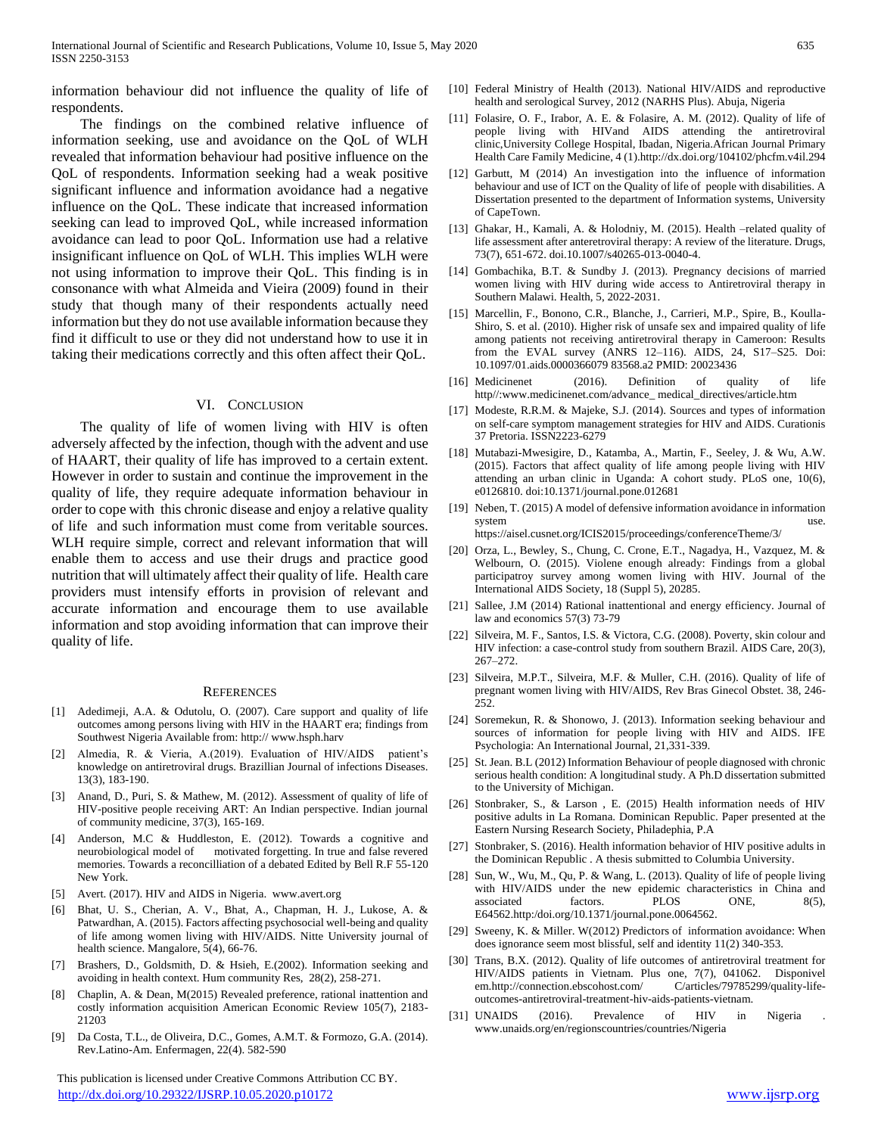information behaviour did not influence the quality of life of respondents.

 The findings on the combined relative influence of information seeking, use and avoidance on the QoL of WLH revealed that information behaviour had positive influence on the QoL of respondents. Information seeking had a weak positive significant influence and information avoidance had a negative influence on the QoL. These indicate that increased information seeking can lead to improved QoL, while increased information avoidance can lead to poor QoL. Information use had a relative insignificant influence on QoL of WLH. This implies WLH were not using information to improve their QoL. This finding is in consonance with what Almeida and Vieira (2009) found in their study that though many of their respondents actually need information but they do not use available information because they find it difficult to use or they did not understand how to use it in taking their medications correctly and this often affect their QoL.

#### VI. CONCLUSION

 The quality of life of women living with HIV is often adversely affected by the infection, though with the advent and use of HAART, their quality of life has improved to a certain extent. However in order to sustain and continue the improvement in the quality of life, they require adequate information behaviour in order to cope with this chronic disease and enjoy a relative quality of life and such information must come from veritable sources. WLH require simple, correct and relevant information that will enable them to access and use their drugs and practice good nutrition that will ultimately affect their quality of life. Health care providers must intensify efforts in provision of relevant and accurate information and encourage them to use available information and stop avoiding information that can improve their quality of life.

#### **REFERENCES**

- [1] Adedimeji, A.A. & Odutolu, O. (2007). Care support and quality of life outcomes among persons living with HIV in the HAART era; findings from Southwest Nigeria Available from: http:// www.hsph.harv
- [2] Almedia, R. & Vieria, A.(2019). Evaluation of HIV/AIDS patient's knowledge on antiretroviral drugs. Brazillian Journal of infections Diseases. 13(3), 183-190.
- [3] Anand, D., Puri, S. & Mathew, M. (2012). Assessment of quality of life of HIV-positive people receiving ART: An Indian perspective. Indian journal of community medicine, 37(3), 165-169.
- Anderson, M.C & Huddleston, E. (2012). Towards a cognitive and neurobiological model of motivated forgetting. In true and false revered memories. Towards a reconcilliation of a debated Edited by Bell R.F 55-120 New York.
- [5] Avert. (2017). HIV and AIDS in Nigeria. www.avert.org
- [6] Bhat, U. S., Cherian, A. V., Bhat, A., Chapman, H. J., Lukose, A. & Patwardhan, A. (2015). Factors affecting psychosocial well-being and quality of life among women living with HIV/AIDS. Nitte University journal of health science. Mangalore, 5(4), 66-76.
- [7] Brashers, D., Goldsmith, D. & Hsieh, E.(2002). Information seeking and avoiding in health context. Hum community Res, 28(2), 258-271.
- [8] Chaplin, A. & Dean, M(2015) Revealed preference, rational inattention and costly information acquisition American Economic Review 105(7), 2183- 21203
- [9] Da Costa, T.L., de Oliveira, D.C., Gomes, A.M.T. & Formozo, G.A. (2014). Rev.Latino-Am. Enfermagen, 22(4). 582-590

 This publication is licensed under Creative Commons Attribution CC BY. <http://dx.doi.org/10.29322/IJSRP.10.05.2020.p10172> [www.ijsrp.org](http://ijsrp.org/)

- [10] Federal Ministry of Health (2013). National HIV/AIDS and reproductive health and serological Survey, 2012 (NARHS Plus). Abuja, Nigeria
- [11] Folasire, O. F., Irabor, A. E. & Folasire, A. M. (2012). Quality of life of people living with HIVand AIDS attending the antiretroviral clinic,University College Hospital, Ibadan, Nigeria.African Journal Primary Health Care Family Medicine, 4 (1).http://dx.doi.org/104102/phcfm.v4il.294
- [12] Garbutt, M (2014) An investigation into the influence of information behaviour and use of ICT on the Quality of life of people with disabilities. A Dissertation presented to the department of Information systems, University of CapeTown.
- [13] Ghakar, H., Kamali, A. & Holodniy, M. (2015). Health –related quality of life assessment after anteretroviral therapy: A review of the literature. Drugs, 73(7), 651-672. doi.10.1007/s40265-013-0040-4.
- [14] Gombachika, B.T. & Sundby J. (2013). Pregnancy decisions of married women living with HIV during wide access to Antiretroviral therapy in Southern Malawi. Health, 5, 2022-2031.
- [15] Marcellin, F., Bonono, C.R., Blanche, J., Carrieri, M.P., Spire, B., Koulla-Shiro, S. et al. (2010). Higher risk of unsafe sex and impaired quality of life among patients not receiving antiretroviral therapy in Cameroon: Results from the EVAL survey (ANRS 12–116). AIDS, 24, S17–S25. Doi: 10.1097/01.aids.0000366079 83568.a2 PMID: 20023436
- [16] Medicinenet (2016). Definition of quality of life http//:www.medicinenet.com/advance\_ medical\_directives/article.htm
- [17] Modeste, R.R.M. & Majeke, S.J. (2014). Sources and types of information on self-care symptom management strategies for HIV and AIDS. Curationis 37 Pretoria. ISSN2223-6279
- [18] Mutabazi-Mwesigire, D., Katamba, A., Martin, F., Seeley, J. & Wu, A.W. (2015). Factors that affect quality of life among people living with HIV attending an urban clinic in Uganda: A cohort study. PLoS one, 10(6), e0126810. doi:10.1371/journal.pone.012681
- [19] Neben, T. (2015) A model of defensive information avoidance in information system use. https://aisel.cusnet.org/ICIS2015/proceedings/conferenceTheme/3/

[20] Orza, L., Bewley, S., Chung, C. Crone, E.T., Nagadya, H., Vazquez, M. & Welbourn, O. (2015). Violene enough already: Findings from a global participatroy survey among women living with HIV. Journal of the International AIDS Society, 18 (Suppl 5), 20285.

- [21] Sallee, J.M (2014) Rational inattentional and energy efficiency. Journal of law and economics 57(3) 73-79
- [22] Silveira, M. F., Santos, I.S. & Victora, C.G. (2008). Poverty, skin colour and HIV infection: a case-control study from southern Brazil. AIDS Care, 20(3), 267–272.
- [23] Silveira, M.P.T., Silveira, M.F. & Muller, C.H. (2016). Quality of life of pregnant women living with HIV/AIDS, Rev Bras Ginecol Obstet. 38, 246- 252.
- [24] Soremekun, R. & Shonowo, J. (2013). Information seeking behaviour and sources of information for people living with HIV and AIDS. IFE Psychologia: An International Journal, 21,331-339.
- [25] St. Jean. B.L (2012) Information Behaviour of people diagnosed with chronic serious health condition: A longitudinal study. A Ph.D dissertation submitted to the University of Michigan.
- [26] Stonbraker, S., & Larson , E. (2015) Health information needs of HIV positive adults in La Romana. Dominican Republic. Paper presented at the Eastern Nursing Research Society, Philadephia, P.A
- [27] Stonbraker, S. (2016). Health information behavior of HIV positive adults in the Dominican Republic . A thesis submitted to Columbia University.
- [28] Sun, W., Wu, M., Qu, P. & Wang, L. (2013). Quality of life of people living with HIV/AIDS under the new epidemic characteristics in China and associated factors. PLOS ONE, 8(5), E64562.http:/doi.org/10.1371/journal.pone.0064562.
- [29] Sweeny, K. & Miller. W(2012) Predictors of information avoidance: When does ignorance seem most blissful, self and identity 11(2) 340-353.
- [30] Trans, B.X. (2012). Quality of life outcomes of antiretroviral treatment for HIV/AIDS patients in Vietnam. Plus one, 7(7), 041062. Disponivel em.http://connection.ebscohost.com/ C/articles/79785299/quality-lifeoutcomes-antiretroviral-treatment-hiv-aids-patients-vietnam.
- [31] UNAIDS (2016). Prevalence of HIV in Nigeria www.unaids.org/en/regionscountries/countries/Nigeria